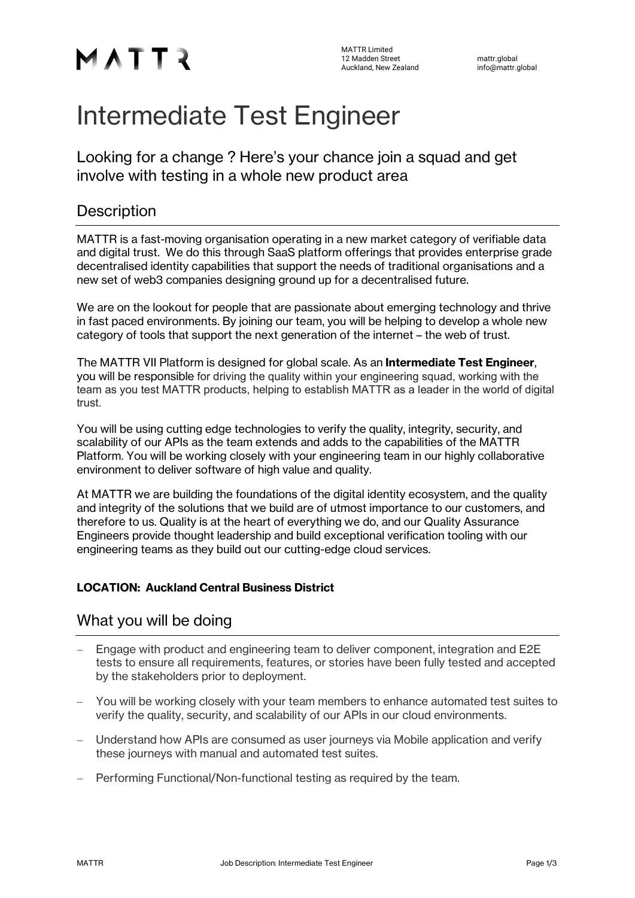# MATTR

# Intermediate Test Engineer

Looking for a change ? Here's your chance join a squad and get involve with testing in a whole new product area

# **Description**

MATTR is a fast-moving organisation operating in a new market category of verifiable data and digital trust. We do this through SaaS platform offerings that provides enterprise grade decentralised identity capabilities that support the needs of traditional organisations and a new set of web3 companies designing ground up for a decentralised future.

We are on the lookout for people that are passionate about emerging technology and thrive in fast paced environments. By joining our team, you will be helping to develop a whole new category of tools that support the next generation of the internet – the web of trust.

The MATTR VII Platform is designed for global scale. As an **Intermediate Test Engineer**, you will be responsible for driving the quality within your engineering squad, working with the team as you test MATTR products, helping to establish MATTR as a leader in the world of digital trust.

You will be using cutting edge technologies to verify the quality, integrity, security, and scalability of our APIs as the team extends and adds to the capabilities of the MATTR Platform. You will be working closely with your engineering team in our highly collaborative environment to deliver software of high value and quality.

At MATTR we are building the foundations of the digital identity ecosystem, and the quality and integrity of the solutions that we build are of utmost importance to our customers, and therefore to us. Quality is at the heart of everything we do, and our Quality Assurance Engineers provide thought leadership and build exceptional verification tooling with our engineering teams as they build out our cutting-edge cloud services.

#### LOCATION: Auckland Central Business District

## What you will be doing

- Engage with product and engineering team to deliver component, integration and E2E tests to ensure all requirements, features, or stories have been fully tested and accepted by the stakeholders prior to deployment.
- You will be working closely with your team members to enhance automated test suites to verify the quality, security, and scalability of our APIs in our cloud environments.
- Understand how APIs are consumed as user journeys via Mobile application and verify these journeys with manual and automated test suites.
- Performing Functional/Non-functional testing as required by the team.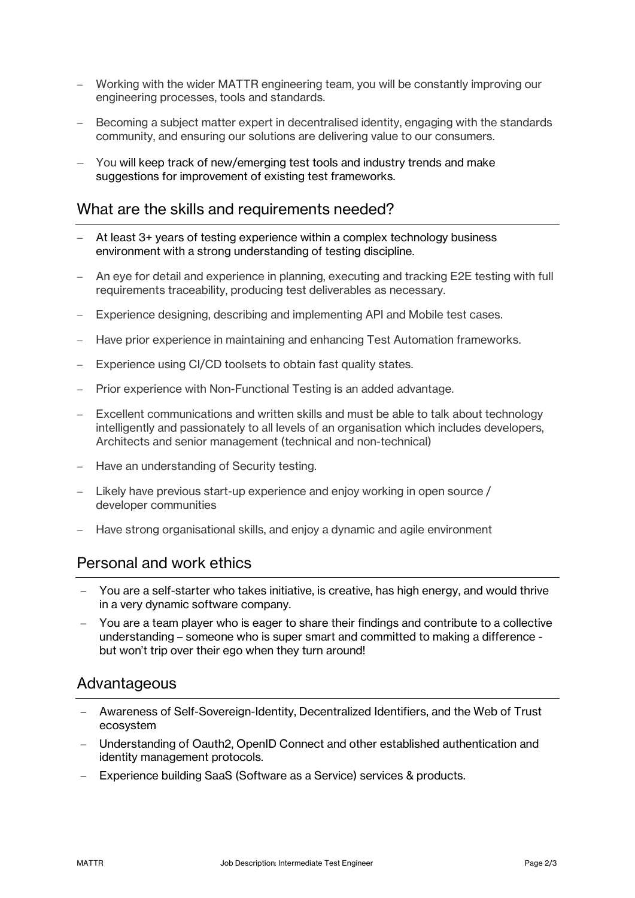- Working with the wider MATTR engineering team, you will be constantly improving our engineering processes, tools and standards.
- Becoming a subject matter expert in decentralised identity, engaging with the standards community, and ensuring our solutions are delivering value to our consumers.
- You will keep track of new/emerging test tools and industry trends and make suggestions for improvement of existing test frameworks.

#### What are the skills and requirements needed?

- At least 3+ years of testing experience within a complex technology business environment with a strong understanding of testing discipline.
- An eye for detail and experience in planning, executing and tracking E2E testing with full requirements traceability, producing test deliverables as necessary.
- Experience designing, describing and implementing API and Mobile test cases.
- Have prior experience in maintaining and enhancing Test Automation frameworks.
- Experience using CI/CD toolsets to obtain fast quality states.
- Prior experience with Non-Functional Testing is an added advantage.
- Excellent communications and written skills and must be able to talk about technology intelligently and passionately to all levels of an organisation which includes developers, Architects and senior management (technical and non-technical)
- Have an understanding of Security testing.
- $-$  Likely have previous start-up experience and enjoy working in open source / developer communities
- Have strong organisational skills, and enjoy a dynamic and agile environment

## Personal and work ethics

- You are a self-starter who takes initiative, is creative, has high energy, and would thrive in a very dynamic software company.
- You are a team player who is eager to share their findings and contribute to a collective understanding – someone who is super smart and committed to making a difference but won't trip over their ego when they turn around!

#### Advantageous

- Awareness of Self-Sovereign-Identity, Decentralized Identifiers, and the Web of Trust ecosystem
- Understanding of Oauth2, OpenID Connect and other established authentication and identity management protocols.
- Experience building SaaS (Software as a Service) services & products.